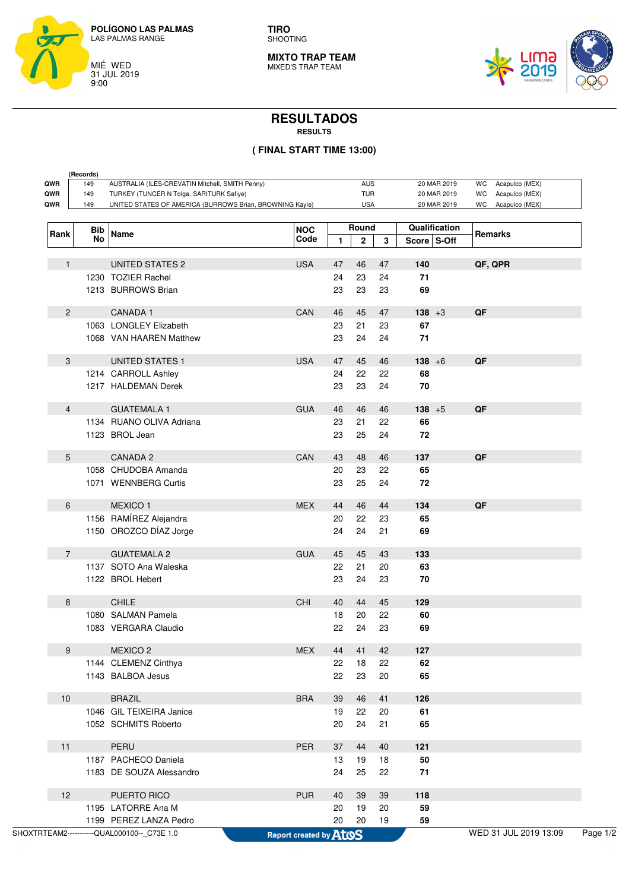

**TIRO** SHOOTING

**MIXTO TRAP TEAM** MIXED'S TRAP TEAM



## **RESULTADOS**

**RESULTS**

## **( FINAL START TIME 13:00)**

|                | (Records)        |                                                          |                    |              |                  |          |               |    |                |  |
|----------------|------------------|----------------------------------------------------------|--------------------|--------------|------------------|----------|---------------|----|----------------|--|
| QWR            | 149              | AUSTRALIA (ILES-CREVATIN Mitchell, SMITH Penny)          |                    | <b>AUS</b>   |                  |          | 20 MAR 2019   | WC | Acapulco (MEX) |  |
| QWR            | 149              | TURKEY (TUNCER N Tolga, SARITURK Safiye)                 |                    |              | <b>TUR</b>       |          | 20 MAR 2019   | WC | Acapulco (MEX) |  |
| QWR            | 149              | UNITED STATES OF AMERICA (BURROWS Brian, BROWNING Kayle) |                    |              | <b>USA</b>       |          | 20 MAR 2019   | WC | Acapulco (MEX) |  |
|                |                  |                                                          |                    |              | Round            |          | Qualification |    |                |  |
| Rank           | <b>Bib</b><br>No | Name                                                     | <b>NOC</b><br>Code | $\mathbf{1}$ | $\boldsymbol{2}$ | 3        | Score S-Off   |    | Remarks        |  |
|                |                  |                                                          |                    |              |                  |          |               |    |                |  |
| 1              |                  | <b>UNITED STATES 2</b>                                   | <b>USA</b>         | 47           | 46               | 47       | 140           |    | QF, QPR        |  |
|                |                  | 1230 TOZIER Rachel                                       |                    | 24           | 23               | 24       | 71            |    |                |  |
|                |                  | 1213 BURROWS Brian                                       |                    | 23           | 23               | 23       | 69            |    |                |  |
|                |                  |                                                          |                    |              |                  |          |               |    |                |  |
| $\overline{c}$ |                  | CANADA 1<br>1063 LONGLEY Elizabeth                       | CAN                | 46           | 45               | 47       | $138 + 3$     | QF |                |  |
|                |                  |                                                          |                    | 23           | 21               | 23       | 67            |    |                |  |
|                |                  | 1068 VAN HAAREN Matthew                                  |                    | 23           | 24               | 24       | 71            |    |                |  |
| 3              |                  | <b>UNITED STATES 1</b>                                   | <b>USA</b>         | 47           | 45               | 46       | $138 + 6$     | QF |                |  |
|                |                  | 1214 CARROLL Ashley                                      |                    | 24           | 22               | 22       | 68            |    |                |  |
|                |                  | 1217 HALDEMAN Derek                                      |                    | 23           | 23               | 24       | 70            |    |                |  |
|                |                  |                                                          |                    |              |                  |          |               |    |                |  |
| 4              |                  | <b>GUATEMALA 1</b>                                       | <b>GUA</b>         | 46           | 46               | 46       | $138 + 5$     | QF |                |  |
|                |                  | 1134 RUANO OLIVA Adriana                                 |                    | 23           | 21               | 22       | 66            |    |                |  |
|                |                  | 1123 BROL Jean                                           |                    | 23           | 25               | 24       | 72            |    |                |  |
| 5              |                  | <b>CANADA 2</b>                                          | CAN                |              |                  |          |               | QF |                |  |
|                |                  | 1058 CHUDOBA Amanda                                      |                    | 43           | 48               | 46<br>22 | 137<br>65     |    |                |  |
|                |                  |                                                          |                    | 20           | 23               |          |               |    |                |  |
|                |                  | 1071 WENNBERG Curtis                                     |                    | 23           | 25               | 24       | 72            |    |                |  |
| 6              |                  | MEXICO 1                                                 | <b>MEX</b>         | 44           | 46               | 44       | 134           | QF |                |  |
|                |                  | 1156 RAMÍREZ Alejandra                                   |                    | 20           | 22               | 23       | 65            |    |                |  |
|                |                  | 1150 OROZCO DÍAZ Jorge                                   |                    | 24           | 24               | 21       | 69            |    |                |  |
|                |                  |                                                          |                    |              |                  |          |               |    |                |  |
| $\overline{7}$ |                  | <b>GUATEMALA 2</b>                                       | <b>GUA</b>         | 45           | 45               | 43       | 133           |    |                |  |
|                |                  | 1137 SOTO Ana Waleska                                    |                    | 22           | 21               | 20       | 63            |    |                |  |
|                |                  | 1122 BROL Hebert                                         |                    | 23           | 24               | 23       | 70            |    |                |  |
| 8              |                  | <b>CHILE</b>                                             | <b>CHI</b>         | 40           | 44               | 45       | 129           |    |                |  |
|                |                  | 1080 SALMAN Pamela                                       |                    | 18           | 20               | 22       | 60            |    |                |  |
|                |                  | 1083 VERGARA Claudio                                     |                    | 22           | 24               | 23       | 69            |    |                |  |
|                |                  |                                                          |                    |              |                  |          |               |    |                |  |
| 9              |                  | MEXICO <sub>2</sub>                                      | <b>MEX</b>         | 44           | 41               | 42       | 127           |    |                |  |
|                |                  | 1144 CLEMENZ Cinthya                                     |                    | 22           | 18               | 22       | 62            |    |                |  |
|                |                  | 1143 BALBOA Jesus                                        |                    | 22           | 23               | 20       | 65            |    |                |  |
| 10             |                  | <b>BRAZIL</b>                                            | <b>BRA</b>         | 39           | 46               | 41       | 126           |    |                |  |
|                |                  | 1046 GIL TEIXEIRA Janice                                 |                    | 19           | 22               | 20       | 61            |    |                |  |
|                |                  | 1052 SCHMITS Roberto                                     |                    | 20           | 24               | 21       | 65            |    |                |  |
|                |                  |                                                          |                    |              |                  |          |               |    |                |  |
| 11             |                  | PERU                                                     | <b>PER</b>         | 37           | 44               | 40       | 121           |    |                |  |
|                |                  | 1187 PACHECO Daniela                                     |                    | 13           | 19               | 18       | 50            |    |                |  |
|                |                  | 1183 DE SOUZA Alessandro                                 |                    | 24           | 25               | 22       | 71            |    |                |  |
|                |                  |                                                          |                    |              |                  |          |               |    |                |  |
| 12             |                  | PUERTO RICO                                              | <b>PUR</b>         | 40           | 39               | 39       | 118           |    |                |  |
|                |                  | 1195 LATORRE Ana M<br>1199 PEREZ LANZA Pedro             |                    | 20           | 19               | 20       | 59            |    |                |  |
|                |                  |                                                          |                    | 20           | 20               | 19       | 59            |    |                |  |